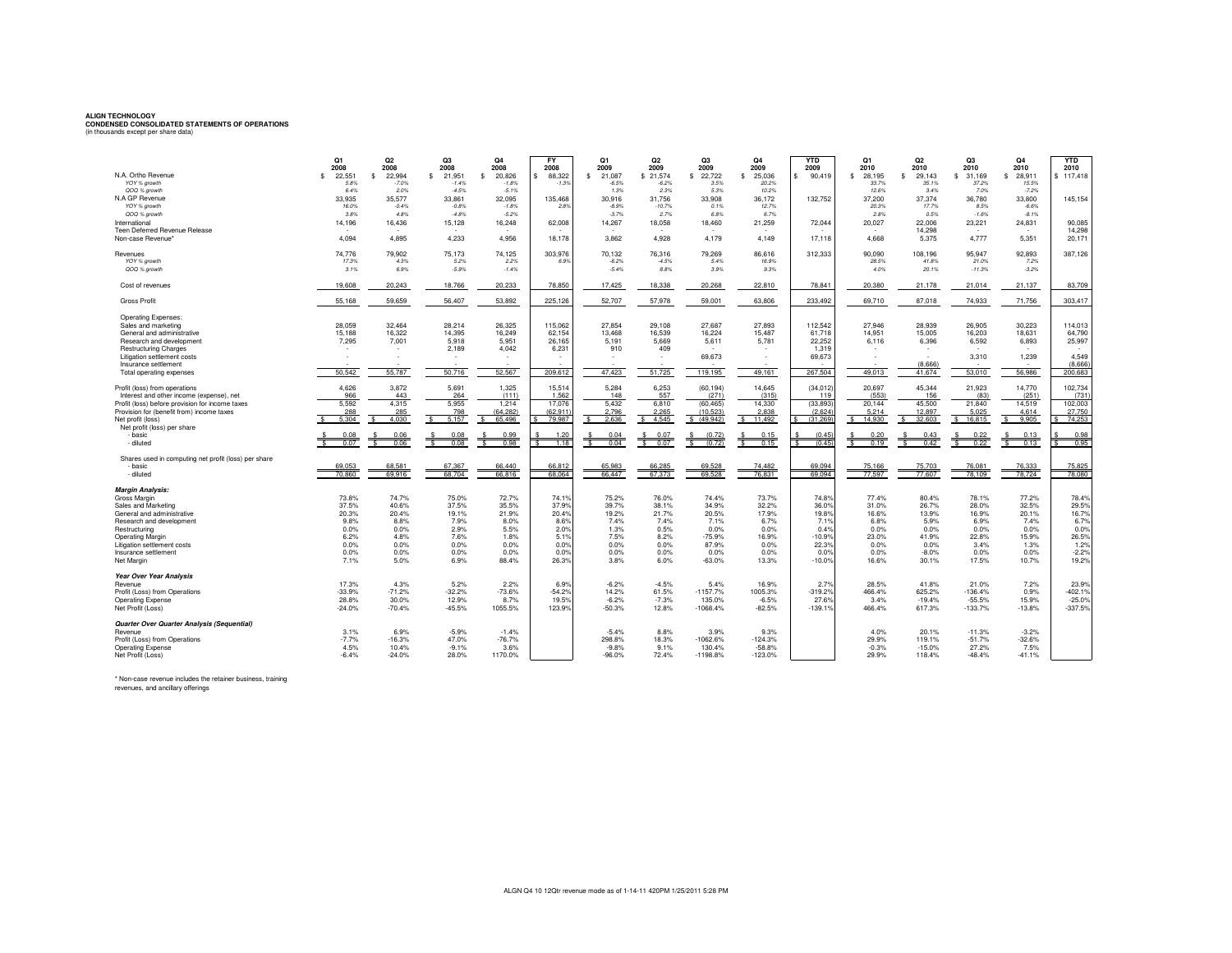**ALIGN TECHNOLOGY CONDENSED CONSOLIDATED STATEMENTS OF OPERATIONS** (in thousands except per share data)

|                                                                           | Q1<br>2008        | Q2<br>2008       | Q3<br>2008         | Q <sub>4</sub><br>2008       | <b>FY</b><br>2008  | Q1<br>2009                      | Q2<br>2009                      | Q3<br>2009          | Q4<br>2009            | <b>YTD</b><br>2009                | Q1<br>2010         | Q <sub>2</sub><br>2010       | O <sub>3</sub><br>2010 | Q <sub>4</sub><br>2010          | <b>YTD</b><br>2010 |
|---------------------------------------------------------------------------|-------------------|------------------|--------------------|------------------------------|--------------------|---------------------------------|---------------------------------|---------------------|-----------------------|-----------------------------------|--------------------|------------------------------|------------------------|---------------------------------|--------------------|
| N.A. Ortho Revenue                                                        | 22,551<br>\$.     | 22,994<br>.s     | 21,951<br>\$.      | 20,826<br>$\mathbf{\hat{s}}$ | 88,322             | 21,087<br>-S                    | \$21.574                        | 22,722<br>\$        | 25,036<br>£.          | 90,419<br>s.                      | 28.195<br>-S       | 29.143<br>$\mathbf{\hat{s}}$ | 31.169<br>s.           | 28,911<br>£.                    | \$117,418          |
| YOY % growth<br>QOQ % growth                                              | 5.8%<br>6.4%      | $-7.0%$<br>2.0%  | $-1.4%$<br>$-4.5%$ | $-1.8%$<br>$-5.1%$           | $-1.3%$            | $-6.5%$<br>1.3%                 | $-6.2%$<br>2.3%                 | 3.5%<br>5.3%        | 20.2%<br>10.2%        |                                   | 33.7%<br>12.6%     | 35.1%<br>3.4%                | 37.2%<br>7.0%          | 15.5%<br>$-7.2%$                |                    |
| N.A GP Revenue                                                            | 33,935            | 35,577           | 33,861             | 32,095                       | 135,468            | 30,916                          | 31.756                          | 33,908              | 36,172                | 132,752                           | 37,200             | 37,374                       | 36,780                 | 33,800                          | 145,154            |
| YOY % growth                                                              | 16.0%             | $-0.4%$          | $-0.8%$            | $-1.8%$                      | 2.8%               | $-8.9%$                         | $-10.7%$                        | 0.1%                | 12.7%                 |                                   | 20.3%              | 17.7%                        | 8.5%                   | $-6.6%$                         |                    |
| QOQ % growth                                                              | 3.8%              | 4.8%             | $-4.8%$            | $-5.2%$                      |                    | $-3.7%$                         | 2.7%                            | 6.8%                | 6.7%                  |                                   | 2.8%               | 0.5%                         | $-1.6%$                | $-8.1%$                         |                    |
| International<br>Teen Deferred Revenue Release                            | 14,196            | 16,436           | 15,128             | 16,248                       | 62,008             | 14,267                          | 18,058                          | 18,460              | 21,259                | 72,044                            | 20,027<br>. п.     | 22.006<br>14,298             | 23,221<br>$\sim$       | 24,831                          | 90,085<br>14,298   |
| Non-case Revenue*                                                         | 4,094             | 4,895            | 4,233              | 4,956                        | 18,178             | 3,862                           | 4,928                           | 4,179               | 4,149                 | 17,118                            | 4,668              | 5,375                        | 4,777                  | 5,351                           | 20,171             |
| Revenues                                                                  | 74.776            | 79,902           | 75,173             | 74,125                       | 303,976            | 70,132                          | 76,316                          | 79,269              | 86,616                | 312,333                           | 90,090             | 108,196                      | 95,947                 | 92,893                          | 387,126            |
| YOY % growth                                                              | 17.3%<br>3.1%     | 4.3%<br>6.9%     | 5.2%<br>$-5.9%$    | 2.2%<br>$-1.4%$              | 6.9%               | $-6.2%$<br>$-5.4%$              | $-4.5%$<br>8.8%                 | 5.4%<br>3.9%        | 16.9%<br>9.3%         |                                   | 28.5%<br>4.0%      | 41.8%<br>20.1%               | 21.0%<br>$-11.3%$      | 7.2%<br>$-3.2%$                 |                    |
| QOQ % growth                                                              |                   |                  |                    |                              |                    |                                 |                                 |                     |                       |                                   |                    |                              |                        |                                 |                    |
| Cost of revenues                                                          | 19,608            | 20,243           | 18,766             | 20,233                       | 78,850             | 17.425                          | 18,338                          | 20,268              | 22,810                | 78.841                            | 20,380             | 21.178                       | 21.014                 | 21.137                          | 83.709             |
| <b>Gross Profit</b>                                                       | 55.168            | 59,659           | 56,407             | 53,892                       | 225,126            | 52,707                          | 57,978                          | 59,001              | 63,806                | 233,492                           | 69,710             | 87,018                       | 74,933                 | 71,756                          | 303.417            |
| <b>Operating Expenses:</b>                                                |                   |                  |                    |                              |                    |                                 |                                 |                     |                       |                                   |                    |                              |                        |                                 |                    |
| Sales and marketing                                                       | 28.059            | 32.464           | 28.214             | 26,325                       | 115,062            | 27.854                          | 29.108                          | 27,687              | 27,893                | 112.542                           | 27.946             | 28.939                       | 26.905                 | 30.223                          | 114.013            |
| General and administrative<br>Research and development                    | 15,188<br>7,295   | 16,322<br>7,001  | 14,395<br>5,918    | 16,249<br>5,951              | 62,154<br>26,165   | 13,468<br>5,191                 | 16,539<br>5,669                 | 16,224<br>5,611     | 15,487<br>5,781       | 61,718<br>22,252                  | 14,951<br>6,116    | 15,005<br>6,396              | 16,203<br>6,592        | 18,631<br>6,893                 | 64,790<br>25,997   |
| <b>Restructuring Charges</b>                                              |                   |                  | 2,189              | 4,042                        | 6,231              | 910                             | 409                             |                     |                       | 1,319                             |                    |                              |                        |                                 |                    |
| Litigation settlement costs                                               |                   |                  |                    | $\sim$                       |                    | $\sim$                          | ٠                               | 69,673              |                       | 69,673                            |                    | ٠                            | 3,310                  | 1,239                           | 4,549              |
| Insurance settlement<br>Total operating expenses                          | 50,542            | 55,787           | 50,716             | 52,567                       | 209,612            | 47,423                          | 51,725                          | 119,195             | 49,161                | 267,504                           | 49,013             | (8.666)<br>41,674            | 53,010                 | 56,986                          | (8,666)<br>200,683 |
|                                                                           |                   |                  |                    |                              |                    |                                 |                                 |                     |                       |                                   |                    |                              |                        |                                 |                    |
| Profit (loss) from operations<br>Interest and other income (expense), net | 4.626<br>966      | 3,872<br>443     | 5,691<br>264       | 1.325<br>(111)               | 15,514<br>1,562    | 5,284<br>148                    | 6,253<br>557                    | (60, 194)<br>(271)  | 14.645<br>(315)       | (34, 012)<br>119                  | 20.697<br>(553)    | 45,344<br>156                | 21,923<br>(83)         | 14,770<br>(251)                 | 102,734<br>(731    |
| Profit (loss) before provision for income taxes                           | 5,592             | 4,315            | 5,955              | 1,214                        | 17,076             | 5,432                           | 6,810                           | (60, 465)           | 14,330                | (33, 893)                         | 20,144             | 45,500                       | 21,840                 | 14,519                          | 102,003            |
| Provision for (benefit from) income taxes                                 | 288               | 285              | 798                | (64.282)                     | (62.911)           | 2.796                           | 2.265                           | (10, 523)           | 2.838                 | (2.624)                           | 5.214              | 12.897                       | 5.025                  | 4.614                           | 27,750             |
| Net profit (loss)                                                         | 5.304             | 4.030            | 5,157              | 65,496                       | 79,987             | 2,636                           | 4,545<br>s.                     | \$(49.942)          | 11.492                | (31, 269)                         | 14.930<br>S.       | 32,603                       | 16,815                 | 9,905                           | 74,253             |
| Net profit (loss) per share<br>- basic                                    | 0.08              |                  | 0.08               | 0.99                         | 1.20               | 0.04                            | 0.07                            | (0.72)              | 0.15                  | (0.45)                            | 0.20               | 0.43                         |                        | 0.13                            | 0.98               |
| - diluted                                                                 | 0.07              | 0.06<br>ं        | 0.08               | 0.98<br>$\hat{\mathbf{x}}$   | 1.18<br>$\epsilon$ | 0.04<br>$\overline{\mathbf{r}}$ | 0.07<br>$\overline{\mathbf{r}}$ | (0.72)<br>$\bullet$ | 0.15<br>$\mathcal{L}$ | (0.45)<br>$\overline{\mathbf{r}}$ | 0.19<br>$\epsilon$ | 0.42<br>¢                    | 0.22                   | 0.13<br>$\overline{\mathbf{S}}$ | 0.95               |
| Shares used in computing net profit (loss) per share                      |                   |                  |                    |                              |                    |                                 |                                 |                     |                       |                                   |                    |                              |                        |                                 |                    |
| - basic                                                                   | 69.053            | 68.581           | 67.367<br>68,704   | 66.440                       | 66.812             | 65.983                          | 66.285<br>67.373                | 69.528<br>69.528    | 74.482<br>76,831      | 69.094                            | 75.166<br>77.597   | 75.703<br>77,607             | 76.081<br>78.109       | 76.333<br>78,724                | 75.825<br>78,080   |
| - diluted                                                                 | 70.860            | 69.916           |                    | 66,816                       | 68.064             | 66.447                          |                                 |                     |                       | 69.094                            |                    |                              |                        |                                 |                    |
| <b>Margin Analysis:</b><br>Gross Margin                                   | 73.8%             | 74.7%            | 75.0%              | 72.7%                        | 74.19              | 75.2%                           | 76.0%                           | 74.4%               | 73.7%                 | 74.8%                             | 77.4%              | 80.4%                        | 78.1%                  | 77.2%                           | 78.4%              |
| Sales and Marketing                                                       | 37.5%             | 40.6%            | 37.5%              | 35.5%                        | 37.9%              | 39.7%                           | 38.1%                           | 34.9%               | 32.2%                 | 36.0%                             | 31.0%              | 26.7%                        | 28.0%                  | 32.5%                           | 29.5%              |
| General and administrative                                                | 20.3%             | 20.4%            | 19.1%              | 21.9%                        | 20.4%              | 19.2%                           | 21.7%                           | 20.5%               | 17.9%                 | 19.8%                             | 16.6%              | 13.9%                        | 16.9%                  | 20.1%                           | 16.7%              |
| Research and development<br>Restructuring                                 | 9.8%<br>0.0%      | 8.8%<br>0.0%     | 7.9%<br>2.9%       | 8.0%<br>5.5%                 | 8.6%<br>2.0%       | 7.4%<br>1.3%                    | 7.4%<br>0.5%                    | 7.1%<br>0.0%        | 6.7%<br>0.0%          | 7.1%<br>0.4%                      | 6.8%<br>0.0%       | 5.9%<br>0.0%                 | 6.9%<br>0.0%           | 7.4%<br>0.0%                    | 6.7%<br>0.0%       |
| <b>Operating Margin</b>                                                   | 6.2%              | 4.8%             | 7.6%               | 1.8%                         | 5.19               | 7.5%                            | 8.2%                            | $-75.9%$            | 16.9%                 | $-10.9%$                          | 23.0%              | 41.9%                        | 22.8%                  | 15.9%                           | 26.5%              |
| Litigation settlement costs                                               | 0.0%              | 0.0%             | 0.0%               | 0.0%                         | 0.0%               | 0.0%                            | 0.0%                            | 87.9%               | 0.0%                  | 22.3%                             | 0.0%               | 0.0%                         | 3.4%                   | 1.3%                            | 1.2%               |
| Insurance settlement                                                      | 0.0%              | 0.0%             | 0.0%               | 0.0%                         | 0.0%               | 0.0%                            | 0.0%                            | 0.0%                | 0.0%                  | 0.0%                              | 0.0%               | $-8.0%$                      | 0.0%                   | 0.0%                            | $-2.2%$            |
| Net Margin                                                                | 7.1%              | 5.0%             | 6.9%               | 88.4%                        | 26.3%              | 3.8%                            | 6.0%                            | $-63.0%$            | 13.3%                 | $-10.0%$                          | 16.6%              | 30.1%                        | 17.5%                  | 10.7%                           | 19.2%              |
| <b>Year Over Year Analysis</b>                                            |                   |                  |                    |                              |                    |                                 |                                 |                     |                       |                                   |                    |                              |                        |                                 |                    |
| Revenue<br>Profit (Loss) from Operations                                  | 17.3%<br>$-33.9%$ | 4.3%<br>$-71.2%$ | 5.2%<br>$-32.2%$   | 2.2%<br>$-73.6%$             | 6.9%<br>$-54.2%$   | $-6.2%$<br>14.2%                | $-4.5%$<br>61.5%                | 5.4%<br>$-1157.7%$  | 16.9%<br>1005.3%      | 2.7%<br>$-319.2%$                 | 28.5%<br>466.4%    | 41.8%<br>625.2%              | 21.0%<br>$-136.4%$     | 7.2%<br>0.9%                    | 23.9%<br>$-402.1%$ |
| <b>Operating Expense</b>                                                  | 28.8%             | 30.0%            | 12.9%              | 8.7%                         | 19.5%              | $-6.2%$                         | $-7.3%$                         | 135.0%              | $-6.5%$               | 27.6%                             | 3.4%               | $-19.4%$                     | $-55.5%$               | 15.9%                           | $-25.0%$           |
| Net Profit (Loss)                                                         | $-24.0%$          | $-70.4%$         | $-45.5%$           | 1055.5%                      | 123.9%             | $-50.3%$                        | 12.8%                           | $-1068.4%$          | $-82.5%$              | $-139.1%$                         | 466.4%             | 617.3%                       | $-133.7%$              | $-13.8%$                        | $-337.5%$          |
| Quarter Over Quarter Analysis (Sequential)                                |                   |                  |                    |                              |                    |                                 |                                 |                     |                       |                                   |                    |                              |                        |                                 |                    |
| Revenue<br>Profit (Loss) from Operations                                  | 3.1%<br>$-7.7%$   | 6.9%<br>$-16.3%$ | $-5.9%$<br>47.0%   | $-1.4%$<br>$-76.7%$          |                    | $-5.4%$<br>298.8%               | 8.8%<br>18.3%                   | 3.9%<br>$-1062.6%$  | 9.3%<br>$-124.3%$     |                                   | 4.0%<br>29.9%      | 20.1%<br>119.1%              | $-11.3%$<br>$-51.7%$   | $-3.2%$<br>$-32.6%$             |                    |
| <b>Operating Expense</b>                                                  | 4.5%              | 10.4%            | $-9.1%$            | 3.6%                         |                    | $-9.8%$                         | 9.1%                            | 130.4%              | $-58.8%$              |                                   | $-0.3%$            | $-15.0%$                     | 27.2%                  | 7.5%                            |                    |
| Net Profit (Loss)                                                         | $-6.4%$           | $-24.0%$         | 28.0%              | 1170.0%                      |                    | $-96.0%$                        | 72.4%                           | $-1198.8%$          | $-123.0%$             |                                   | 29.9%              | 118.4%                       | $-48.4%$               | $-41.1%$                        |                    |

\* Non-case revenue includes the retainer business, training

revenues, and ancillary offerings